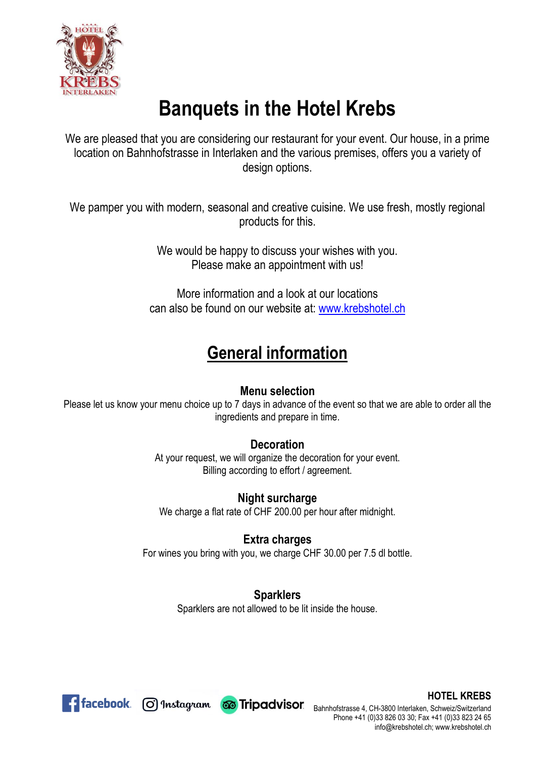

# **Banquets in the Hotel Krebs**

We are pleased that you are considering our restaurant for your event. Our house, in a prime location on Bahnhofstrasse in Interlaken and the various premises, offers you a variety of design options.

We pamper you with modern, seasonal and creative cuisine. We use fresh, mostly regional products for this.

> We would be happy to discuss your wishes with you. Please make an appointment with us!

More information and a look at our locations can also be found on our website at: [www.krebshotel.ch](http://www.krebshotel.ch/)

# **General information**

### **Menu selection**

Please let us know your menu choice up to 7 days in advance of the event so that we are able to order all the ingredients and prepare in time.

### **Decoration**

At your request, we will organize the decoration for your event. Billing according to effort / agreement.

#### **Night surcharge**

We charge a flat rate of CHF 200.00 per hour after midnight.

### **Extra charges**

For wines you bring with you, we charge CHF 30.00 per 7.5 dl bottle.

### **Sparklers**

Sparklers are not allowed to be lit inside the house.



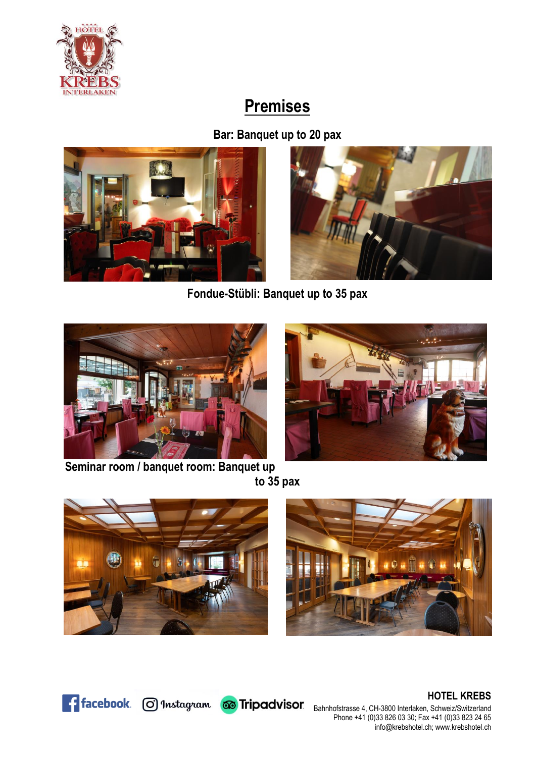

# **Premises**

**Bar: Banquet up to 20 pax** 





**Fondue-Stübli: Banquet up to 35 pax**



**Seminar room / banquet room: Banquet up to 35 pax**









Ficebook. O Instagram co Tripadvisor.

**HOTEL KREBS** Bahnhofstrasse 4, CH-3800 Interlaken, Schweiz/Switzerland Phone +41 (0)33 826 03 30; Fax +41 (0)33 823 24 65 [info@krebshotel.ch;](mailto:info@krebshotel.ch) www.krebshotel.ch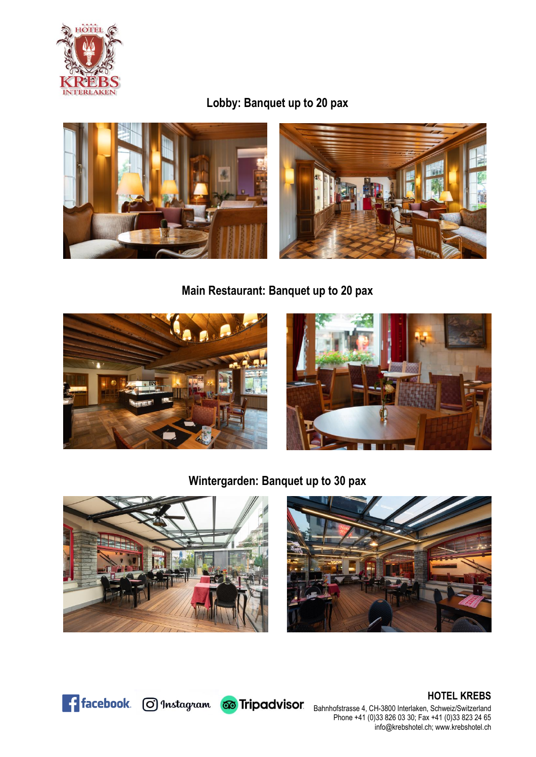

### **Lobby: Banquet up to 20 pax**



**Main Restaurant: Banquet up to 20 pax**





**Wintergarden: Banquet up to 30 pax**





**HOTEL KREBS** Bahnhofstrasse 4, CH-3800 Interlaken, Schweiz/Switzerland Phone +41 (0)33 826 03 30; Fax +41 (0)33 823 24 65 [info@krebshotel.ch;](mailto:info@krebshotel.ch) www.krebshotel.ch



**Fi** facebook. @ Instagram @ Tripadvisor.